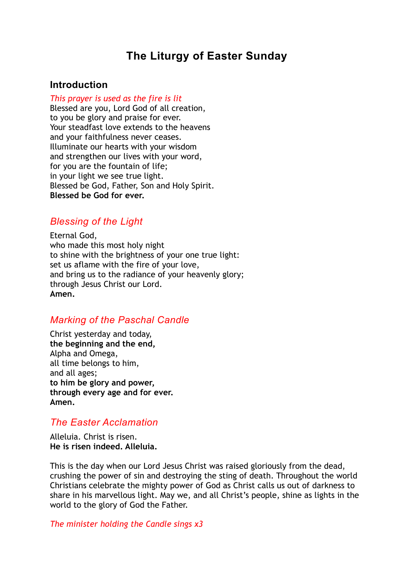# **The Liturgy of Easter Sunday**

### **Introduction**

#### *This prayer is used as the fire is lit*

Blessed are you, Lord God of all creation, to you be glory and praise for ever. Your steadfast love extends to the heavens and your faithfulness never ceases. Illuminate our hearts with your wisdom and strengthen our lives with your word, for you are the fountain of life; in your light we see true light. Blessed be God, Father, Son and Holy Spirit. **Blessed be God for ever.** 

## *Blessing of the Light*

Eternal God, who made this most holy night to shine with the brightness of your one true light: set us aflame with the fire of your love, and bring us to the radiance of your heavenly glory; through Jesus Christ our Lord. **Amen.** 

## *Marking of the Paschal Candle*

Christ yesterday and today, **the beginning and the end,**  Alpha and Omega, all time belongs to him, and all ages; **to him be glory and power, through every age and for ever. Amen.** 

## *The Easter Acclamation*

Alleluia. Christ is risen. **He is risen indeed. Alleluia.** 

This is the day when our Lord Jesus Christ was raised gloriously from the dead, crushing the power of sin and destroying the sting of death. Throughout the world Christians celebrate the mighty power of God as Christ calls us out of darkness to share in his marvellous light. May we, and all Christ's people, shine as lights in the world to the glory of God the Father.

*The minister holding the Candle sings x3*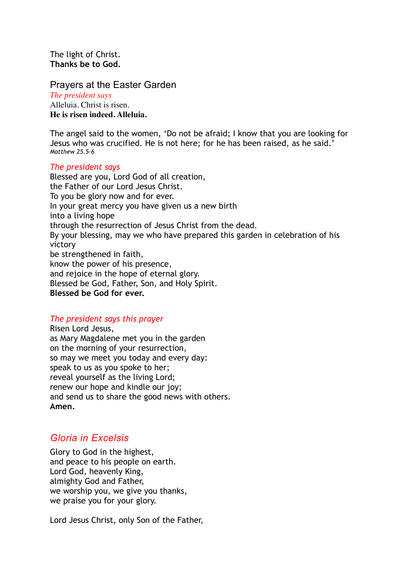The light of Christ. **Thanks be to God.** 

### Prayers at the Easter Garden

*The president says* Alleluia. Christ is risen. **He is risen indeed. Alleluia.**

The angel said to the women, 'Do not be afraid; I know that you are looking for Jesus who was crucified. He is not here; for he has been raised, as he said.' *Matthew 25.5-6* 

#### *The president says*

Blessed are you, Lord God of all creation, the Father of our Lord Jesus Christ. To you be glory now and for ever. In your great mercy you have given us a new birth into a living hope through the resurrection of Jesus Christ from the dead. By your blessing, may we who have prepared this garden in celebration of his victory be strengthened in faith, know the power of his presence, and rejoice in the hope of eternal glory. Blessed be God, Father, Son, and Holy Spirit. **Blessed be God for ever.** 

### *The president says this prayer*

Risen Lord Jesus, as Mary Magdalene met you in the garden on the morning of your resurrection, so may we meet you today and every day: speak to us as you spoke to her; reveal yourself as the living Lord; renew our hope and kindle our joy; and send us to share the good news with others. **Amen.** 

## *Gloria in Excelsis*

Glory to God in the highest, and peace to his people on earth. Lord God, heavenly King, almighty God and Father, we worship you, we give you thanks, we praise you for your glory.

Lord Jesus Christ, only Son of the Father,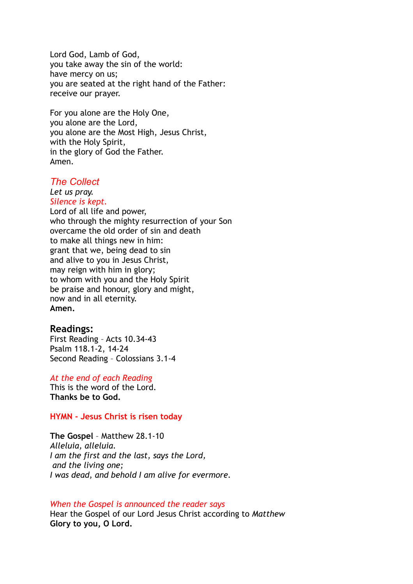Lord God, Lamb of God, you take away the sin of the world: have mercy on us; you are seated at the right hand of the Father: receive our prayer.

For you alone are the Holy One, you alone are the Lord, you alone are the Most High, Jesus Christ, with the Holy Spirit, in the glory of God the Father. Amen.

#### *The Collect*

*Let us pray. Silence is kept.* Lord of all life and power, who through the mighty resurrection of your Son overcame the old order of sin and death to make all things new in him: grant that we, being dead to sin and alive to you in Jesus Christ, may reign with him in glory; to whom with you and the Holy Spirit be praise and honour, glory and might, now and in all eternity. **Amen.** 

### **Readings:**

First Reading – Acts 10.34-43 Psalm 118.1-2, 14-24 Second Reading – Colossians 3.1-4

*At the end of each Reading* This is the word of the Lord. **Thanks be to God.** 

#### **HYMN - Jesus Christ is risen today**

**The Gospel** – Matthew 28.1-10 *Alleluia, alleluia. I am the first and the last, says the Lord, and the living one; I was dead, and behold I am alive for evermore.* 

#### *When the Gospel is announced the reader says*

Hear the Gospel of our Lord Jesus Christ according to *Matthew* **Glory to you, O Lord.**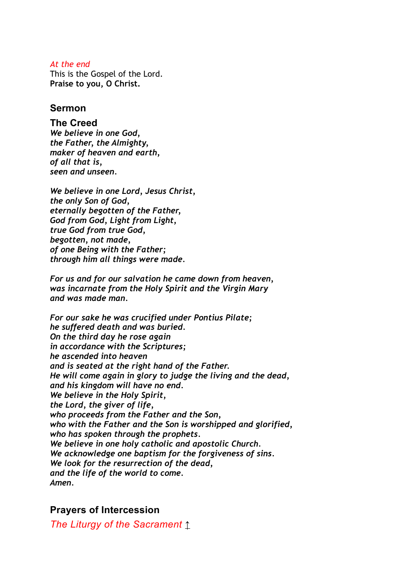#### *At the end*

This is the Gospel of the Lord. **Praise to you, O Christ.** 

#### **Sermon**

**The Creed**  *We believe in one God, the Father, the Almighty, maker of heaven and earth, of all that is, seen and unseen.* 

*We believe in one Lord, Jesus Christ, the only Son of God, eternally begotten of the Father, God from God, Light from Light, true God from true God, begotten, not made, of one Being with the Father; through him all things were made.* 

*For us and for our salvation he came down from heaven, was incarnate from the Holy Spirit and the Virgin Mary and was made man.* 

*For our sake he was crucified under Pontius Pilate; he suffered death and was buried. On the third day he rose again in accordance with the Scriptures; he ascended into heaven and is seated at the right hand of the Father. He will come again in glory to judge the living and the dead, and his kingdom will have no end. We believe in the Holy Spirit, the Lord, the giver of life, who proceeds from the Father and the Son, who with the Father and the Son is worshipped and glorified, who has spoken through the prophets. We believe in one holy catholic and apostolic Church. We acknowledge one baptism for the forgiveness of sins. We look for the resurrection of the dead, and the life of the world to come. Amen.* 

## **Prayers of Intercession**

*The Liturgy of the Sacrament* [↑](https://www.churchofengland.org/prayer-and-worship/worship-texts-and-resources/common-worship/churchs-year/times-and-seasons/passiontide-and-holy-week#block-cofe-content)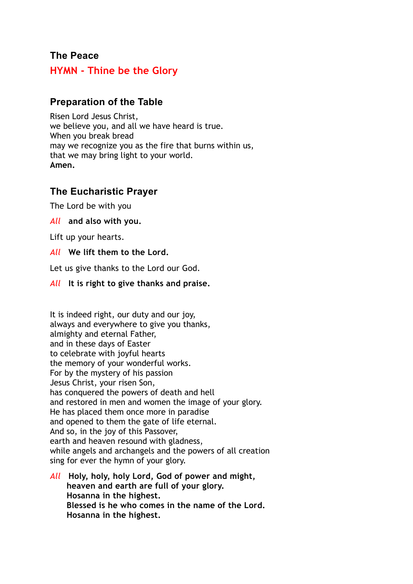## **The Peace**

## **HYMN - Thine be the Glory**

## **Preparation of the Table**

Risen Lord Jesus Christ, we believe you, and all we have heard is true. When you break bread may we recognize you as the fire that burns within us, that we may bring light to your world. **Amen.** 

## **The Eucharistic Prayer**

The Lord be with you

### *All* **and also with you.**

Lift up your hearts.

### *All* **We lift them to the Lord.**

Let us give thanks to the Lord our God.

### *All* **It is right to give thanks and praise.**

It is indeed right, our duty and our joy, always and everywhere to give you thanks, almighty and eternal Father, and in these days of Easter to celebrate with joyful hearts the memory of your wonderful works. For by the mystery of his passion Jesus Christ, your risen Son, has conquered the powers of death and hell and restored in men and women the image of your glory. He has placed them once more in paradise and opened to them the gate of life eternal. And so, in the joy of this Passover, earth and heaven resound with gladness, while angels and archangels and the powers of all creation sing for ever the hymn of your glory.

*All* **Holy, holy, holy Lord, God of power and might, heaven and earth are full of your glory. Hosanna in the highest. Blessed is he who comes in the name of the Lord. Hosanna in the highest.**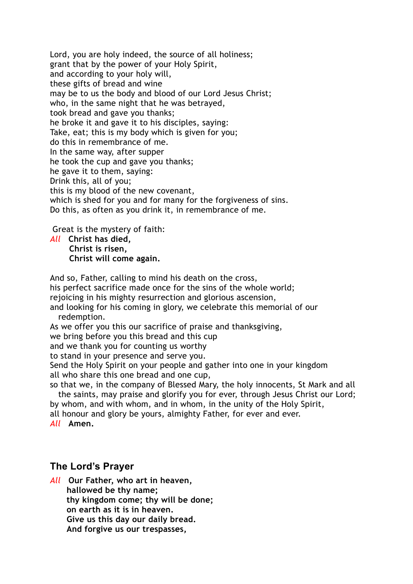Lord, you are holy indeed, the source of all holiness; grant that by the power of your Holy Spirit, and according to your holy will, these gifts of bread and wine may be to us the body and blood of our Lord Jesus Christ; who, in the same night that he was betrayed, took bread and gave you thanks; he broke it and gave it to his disciples, saying: Take, eat; this is my body which is given for you; do this in remembrance of me. In the same way, after supper he took the cup and gave you thanks; he gave it to them, saying: Drink this, all of you; this is my blood of the new covenant, which is shed for you and for many for the forgiveness of sins. Do this, as often as you drink it, in remembrance of me.

Great is the mystery of faith:

*All* **Christ has died, Christ is risen, Christ will come again.**

And so, Father, calling to mind his death on the cross,

his perfect sacrifice made once for the sins of the whole world;

rejoicing in his mighty resurrection and glorious ascension,

and looking for his coming in glory, we celebrate this memorial of our redemption.

As we offer you this our sacrifice of praise and thanksgiving, we bring before you this bread and this cup

and we thank you for counting us worthy

to stand in your presence and serve you.

Send the Holy Spirit on your people and gather into one in your kingdom all who share this one bread and one cup,

so that we, in the company of Blessed Mary, the holy innocents, St Mark and all the saints, may praise and glorify you for ever, through Jesus Christ our Lord; by whom, and with whom, and in whom, in the unity of the Holy Spirit, all honour and glory be yours, almighty Father, for ever and ever.

*All* **Amen.**

## **The Lord's Prayer**

*All* **Our Father, who art in heaven, hallowed be thy name; thy kingdom come; thy will be done; on earth as it is in heaven. Give us this day our daily bread. And forgive us our trespasses,**